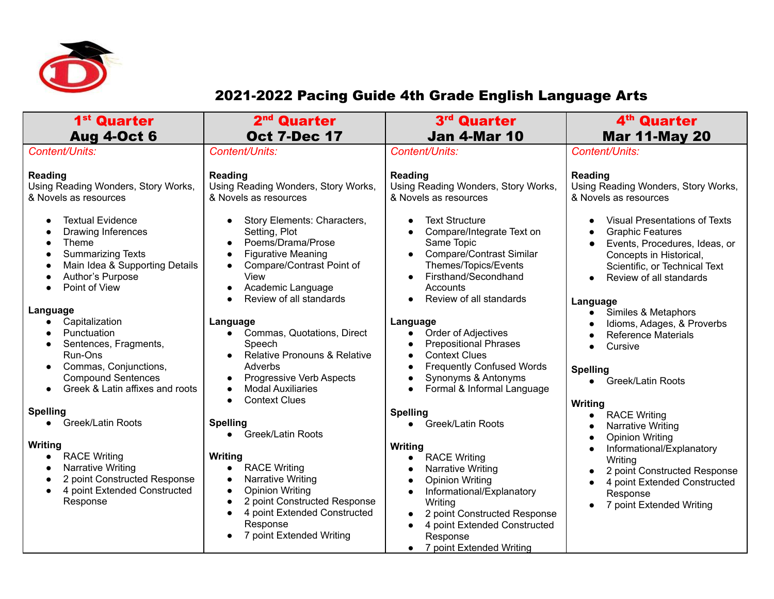

## 2021-2022 Pacing Guide 4th Grade English Language Arts

| 1 <sup>st</sup> Quarter<br><b>Aug 4-Oct 6</b>                                                                                                                                       | 2 <sup>nd</sup> Quarter<br><b>Oct 7-Dec 17</b>                                                                                                                                                                                                         | 3 <sup>rd</sup> Quarter<br><b>Jan 4-Mar 10</b>                                                                                                                                                                                                            | 4 <sup>th</sup> Quarter<br><b>Mar 11-May 20</b>                                                                                                                                                                                            |
|-------------------------------------------------------------------------------------------------------------------------------------------------------------------------------------|--------------------------------------------------------------------------------------------------------------------------------------------------------------------------------------------------------------------------------------------------------|-----------------------------------------------------------------------------------------------------------------------------------------------------------------------------------------------------------------------------------------------------------|--------------------------------------------------------------------------------------------------------------------------------------------------------------------------------------------------------------------------------------------|
| Content/Units:                                                                                                                                                                      | Content/Units:                                                                                                                                                                                                                                         | Content/Units:                                                                                                                                                                                                                                            | Content/Units:                                                                                                                                                                                                                             |
| Reading<br>Using Reading Wonders, Story Works,<br>& Novels as resources                                                                                                             | Reading<br>Using Reading Wonders, Story Works,<br>& Novels as resources                                                                                                                                                                                | Reading<br>Using Reading Wonders, Story Works,<br>& Novels as resources                                                                                                                                                                                   | Reading<br>Using Reading Wonders, Story Works,<br>& Novels as resources                                                                                                                                                                    |
| <b>Textual Evidence</b><br><b>Drawing Inferences</b><br>Theme<br><b>Summarizing Texts</b><br>0<br>Main Idea & Supporting Details<br>$\bullet$<br>Author's Purpose<br>Point of View  | Story Elements: Characters,<br>Setting, Plot<br>Poems/Drama/Prose<br><b>Figurative Meaning</b><br>$\bullet$<br>Compare/Contrast Point of<br>$\bullet$<br>View<br>Academic Language<br>$\bullet$<br>Review of all standards<br>$\bullet$                | <b>Text Structure</b><br>Compare/Integrate Text on<br>Same Topic<br><b>Compare/Contrast Similar</b><br>$\bullet$<br>Themes/Topics/Events<br>Firsthand/Secondhand<br>$\bullet$<br>Accounts<br>Review of all standards                                      | <b>Visual Presentations of Texts</b><br>$\bullet$<br><b>Graphic Features</b><br>$\bullet$<br>Events, Procedures, Ideas, or<br>Concepts in Historical,<br>Scientific, or Technical Text<br>Review of all standards<br>$\bullet$<br>Language |
| Language<br>Capitalization<br>Punctuation<br>Sentences, Fragments,<br>Run-Ons<br>Commas, Conjunctions,<br>$\bullet$<br><b>Compound Sentences</b><br>Greek & Latin affixes and roots | Language<br>Commas, Quotations, Direct<br>$\bullet$<br>Speech<br><b>Relative Pronouns &amp; Relative</b><br>$\bullet$<br>Adverbs<br>Progressive Verb Aspects<br>$\bullet$<br><b>Modal Auxiliaries</b><br><b>Context Clues</b><br>$\bullet$             | Language<br>Order of Adjectives<br>$\bullet$<br><b>Prepositional Phrases</b><br><b>Context Clues</b><br><b>Frequently Confused Words</b><br>Synonyms & Antonyms<br>Formal & Informal Language<br>$\bullet$                                                | Similes & Metaphors<br>Idioms, Adages, & Proverbs<br>$\bullet$<br><b>Reference Materials</b><br>$\bullet$<br>Cursive<br>$\bullet$<br><b>Spelling</b><br>Greek/Latin Roots<br>$\bullet$                                                     |
| <b>Spelling</b>                                                                                                                                                                     |                                                                                                                                                                                                                                                        | <b>Spelling</b>                                                                                                                                                                                                                                           | Writing<br><b>RACE Writing</b><br>$\bullet$                                                                                                                                                                                                |
| Greek/Latin Roots<br>$\bullet$<br>Writing                                                                                                                                           | <b>Spelling</b><br><b>Greek/Latin Roots</b><br>$\bullet$                                                                                                                                                                                               | • Greek/Latin Roots<br>Writing                                                                                                                                                                                                                            | Narrative Writing<br>$\bullet$<br><b>Opinion Writing</b><br>$\bullet$<br>Informational/Explanatory<br>$\bullet$                                                                                                                            |
| <b>RACE Writing</b><br>$\bullet$<br><b>Narrative Writing</b><br>$\bullet$<br>2 point Constructed Response<br>4 point Extended Constructed<br>Response                               | Writing<br><b>RACE Writing</b><br>$\bullet$<br>Narrative Writing<br>$\bullet$<br><b>Opinion Writing</b><br>$\bullet$<br>2 point Constructed Response<br>$\bullet$<br>4 point Extended Constructed<br>$\bullet$<br>Response<br>7 point Extended Writing | <b>RACE Writing</b><br>$\bullet$<br>Narrative Writing<br><b>Opinion Writing</b><br>Informational/Explanatory<br>Writing<br>2 point Constructed Response<br>4 point Extended Constructed<br>$\bullet$<br>Response<br>7 point Extended Writing<br>$\bullet$ | Writing<br>2 point Constructed Response<br>$\bullet$<br>4 point Extended Constructed<br>Response<br>7 point Extended Writing<br>$\bullet$                                                                                                  |